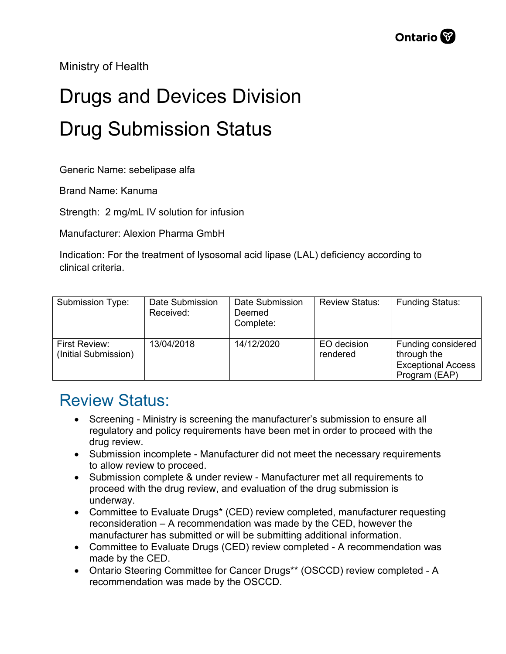Ministry of Health

## Drugs and Devices Division Drug Submission Status

Generic Name: sebelipase alfa

Brand Name: Kanuma

Strength: 2 mg/mL IV solution for infusion

Manufacturer: Alexion Pharma GmbH

Indication: For the treatment of lysosomal acid lipase (LAL) deficiency according to clinical criteria.

| Submission Type:                      | Date Submission<br>Received: | Date Submission<br>Deemed<br>Complete: | <b>Review Status:</b>   | <b>Funding Status:</b>                                                                 |
|---------------------------------------|------------------------------|----------------------------------------|-------------------------|----------------------------------------------------------------------------------------|
| First Review:<br>(Initial Submission) | 13/04/2018                   | 14/12/2020                             | EO decision<br>rendered | <b>Funding considered</b><br>through the<br><b>Exceptional Access</b><br>Program (EAP) |

## Review Status:

- Screening Ministry is screening the manufacturer's submission to ensure all regulatory and policy requirements have been met in order to proceed with the drug review.
- Submission incomplete Manufacturer did not meet the necessary requirements to allow review to proceed.
- Submission complete & under review Manufacturer met all requirements to proceed with the drug review, and evaluation of the drug submission is underway.
- Committee to Evaluate Drugs\* (CED) review completed, manufacturer requesting reconsideration – A recommendation was made by the CED, however the manufacturer has submitted or will be submitting additional information.
- Committee to Evaluate Drugs (CED) review completed A recommendation was made by the CED.
- Ontario Steering Committee for Cancer Drugs\*\* (OSCCD) review completed A recommendation was made by the OSCCD.